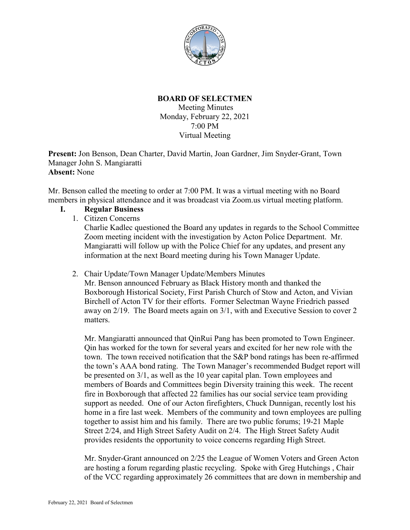

## **BOARD OF SELECTMEN**

Meeting Minutes Monday, February 22, 2021 7:00 PM Virtual Meeting

**Present:** Jon Benson, Dean Charter, David Martin, Joan Gardner, Jim Snyder-Grant, Town Manager John S. Mangiaratti **Absent:** None

Mr. Benson called the meeting to order at 7:00 PM. It was a virtual meeting with no Board members in physical attendance and it was broadcast via Zoom.us virtual meeting platform.

- **I. Regular Business**
	- 1. Citizen Concerns

Charlie Kadlec questioned the Board any updates in regards to the School Committee Zoom meeting incident with the investigation by Acton Police Department. Mr. Mangiaratti will follow up with the Police Chief for any updates, and present any information at the next Board meeting during his Town Manager Update.

2. Chair Update/Town Manager Update/Members Minutes

Mr. Benson announced February as Black History month and thanked the Boxborough Historical Society, First Parish Church of Stow and Acton, and Vivian Birchell of Acton TV for their efforts. Former Selectman Wayne Friedrich passed away on 2/19. The Board meets again on 3/1, with and Executive Session to cover 2 matters.

Mr. Mangiaratti announced that QinRui Pang has been promoted to Town Engineer. Qin has worked for the town for several years and excited for her new role with the town. The town received notification that the S&P bond ratings has been re-affirmed the town's AAA bond rating. The Town Manager's recommended Budget report will be presented on 3/1, as well as the 10 year capital plan. Town employees and members of Boards and Committees begin Diversity training this week. The recent fire in Boxborough that affected 22 families has our social service team providing support as needed. One of our Acton firefighters, Chuck Dunnigan, recently lost his home in a fire last week. Members of the community and town employees are pulling together to assist him and his family. There are two public forums; 19-21 Maple Street 2/24, and High Street Safety Audit on 2/4. The High Street Safety Audit provides residents the opportunity to voice concerns regarding High Street.

Mr. Snyder-Grant announced on 2/25 the League of Women Voters and Green Acton are hosting a forum regarding plastic recycling. Spoke with Greg Hutchings , Chair of the VCC regarding approximately 26 committees that are down in membership and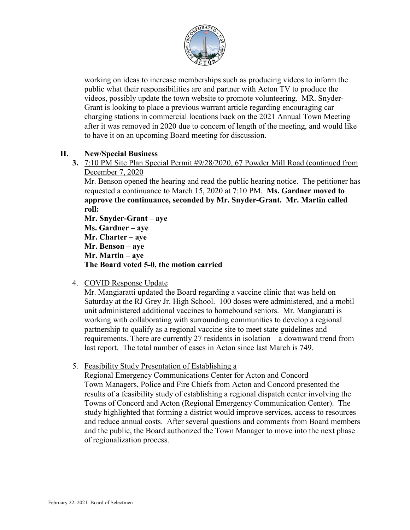

working on ideas to increase memberships such as producing videos to inform the public what their responsibilities are and partner with Acton TV to produce the videos, possibly update the town website to promote volunteering. MR. Snyder-Grant is looking to place a previous warrant article regarding encouraging car charging stations in commercial locations back on the 2021 Annual Town Meeting after it was removed in 2020 due to concern of length of the meeting, and would like to have it on an upcoming Board meeting for discussion.

## **II. New/Special Business**

**3.** 7:10 PM Site Plan Special Permit #9/28/2020, 67 Powder Mill Road (continued from December 7, 2020

Mr. Benson opened the hearing and read the public hearing notice. The petitioner has requested a continuance to March 15, 2020 at 7:10 PM. **Ms. Gardner moved to approve the continuance, seconded by Mr. Snyder-Grant. Mr. Martin called roll:**

**Mr. Snyder-Grant – aye Ms. Gardner – aye Mr. Charter – aye Mr. Benson – aye Mr. Martin – aye The Board voted 5-0, the motion carried**

4. COVID Response Update

Mr. Mangiaratti updated the Board regarding a vaccine clinic that was held on Saturday at the RJ Grey Jr. High School. 100 doses were administered, and a mobil unit administered additional vaccines to homebound seniors. Mr. Mangiaratti is working with collaborating with surrounding communities to develop a regional partnership to qualify as a regional vaccine site to meet state guidelines and requirements. There are currently 27 residents in isolation – a downward trend from last report. The total number of cases in Acton since last March is 749.

5. Feasibility Study Presentation of Establishing a

Regional Emergency Communications Center for Acton and Concord Town Managers, Police and Fire Chiefs from Acton and Concord presented the results of a feasibility study of establishing a regional dispatch center involving the Towns of Concord and Acton (Regional Emergency Communication Center). The study highlighted that forming a district would improve services, access to resources and reduce annual costs. After several questions and comments from Board members and the public, the Board authorized the Town Manager to move into the next phase of regionalization process.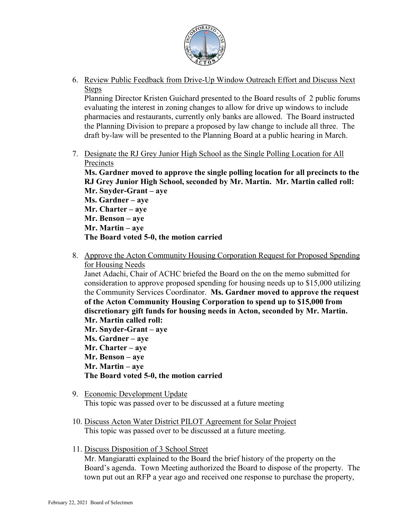

6. Review Public Feedback from Drive-Up Window Outreach Effort and Discuss Next Steps

Planning Director Kristen Guichard presented to the Board results of 2 public forums evaluating the interest in zoning changes to allow for drive up windows to include pharmacies and restaurants, currently only banks are allowed. The Board instructed the Planning Division to prepare a proposed by law change to include all three. The draft by-law will be presented to the Planning Board at a public hearing in March.

7. Designate the RJ Grey Junior High School as the Single Polling Location for All **Precincts** 

**Ms. Gardner moved to approve the single polling location for all precincts to the RJ Grey Junior High School, seconded by Mr. Martin. Mr. Martin called roll: Mr. Snyder-Grant – aye Ms. Gardner – aye Mr. Charter – aye Mr. Benson – aye Mr. Martin – aye The Board voted 5-0, the motion carried**

8. Approve the Acton Community Housing Corporation Request for Proposed Spending for Housing Needs

Janet Adachi, Chair of ACHC briefed the Board on the on the memo submitted for consideration to approve proposed spending for housing needs up to \$15,000 utilizing the Community Services Coordinator. **Ms. Gardner moved to approve the request of the Acton Community Housing Corporation to spend up to \$15,000 from discretionary gift funds for housing needs in Acton, seconded by Mr. Martin. Mr. Martin called roll: Mr. Snyder-Grant – aye Ms. Gardner – aye Mr. Charter – aye Mr. Benson – aye Mr. Martin – aye The Board voted 5-0, the motion carried**

- 9. Economic Development Update This topic was passed over to be discussed at a future meeting
- 10. Discuss Acton Water District PILOT Agreement for Solar Project This topic was passed over to be discussed at a future meeting.
- 11. Discuss Disposition of 3 School Street

Mr. Mangiaratti explained to the Board the brief history of the property on the Board's agenda. Town Meeting authorized the Board to dispose of the property. The town put out an RFP a year ago and received one response to purchase the property,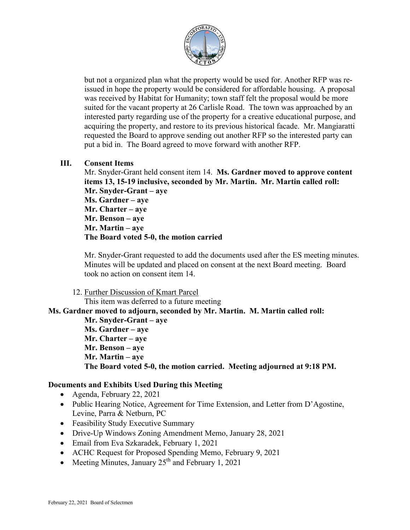

but not a organized plan what the property would be used for. Another RFP was reissued in hope the property would be considered for affordable housing. A proposal was received by Habitat for Humanity; town staff felt the proposal would be more suited for the vacant property at 26 Carlisle Road. The town was approached by an interested party regarding use of the property for a creative educational purpose, and acquiring the property, and restore to its previous historical facade. Mr. Mangiaratti requested the Board to approve sending out another RFP so the interested party can put a bid in. The Board agreed to move forward with another RFP.

## **III. Consent Items**

Mr. Snyder-Grant held consent item 14. **Ms. Gardner moved to approve content items 13, 15-19 inclusive, seconded by Mr. Martin. Mr. Martin called roll: Mr. Snyder-Grant – aye Ms. Gardner – aye Mr. Charter – aye Mr. Benson – aye Mr. Martin – aye The Board voted 5-0, the motion carried**

Mr. Snyder-Grant requested to add the documents used after the ES meeting minutes. Minutes will be updated and placed on consent at the next Board meeting. Board took no action on consent item 14.

12. Further Discussion of Kmart Parcel

This item was deferred to a future meeting

**Ms. Gardner moved to adjourn, seconded by Mr. Martin. M. Martin called roll:**

**Mr. Snyder-Grant – aye Ms. Gardner – aye Mr. Charter – aye Mr. Benson – aye Mr. Martin – aye The Board voted 5-0, the motion carried. Meeting adjourned at 9:18 PM.**

## **Documents and Exhibits Used During this Meeting**

- Agenda, February 22, 2021
- Public Hearing Notice, Agreement for Time Extension, and Letter from D'Agostine, Levine, Parra & Netburn, PC
- Feasibility Study Executive Summary
- Drive-Up Windows Zoning Amendment Memo, January 28, 2021
- Email from Eva Szkaradek, February 1, 2021
- ACHC Request for Proposed Spending Memo, February 9, 2021
- Meeting Minutes, January  $25<sup>th</sup>$  and February 1, 2021